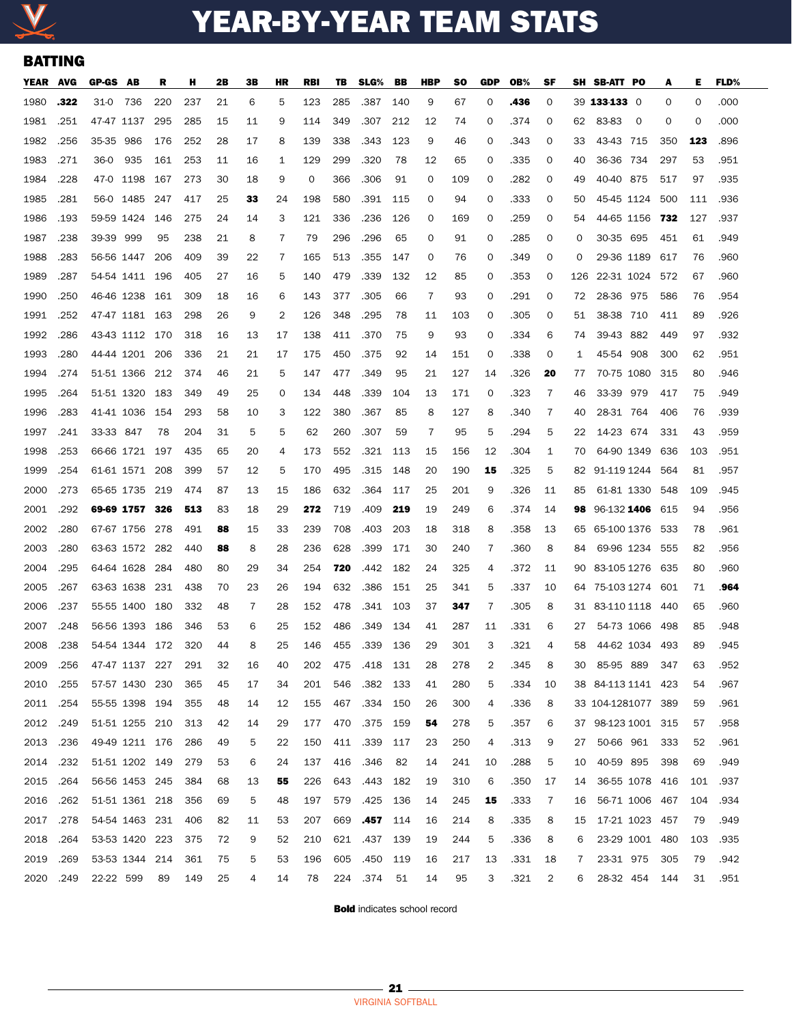

## YEAR-BY-YEAR TEAM STATS

## BATTING

| YEAR AVG  |      | GP-GS AB       |                | R    | н   | 2В | 3В | HR | <b>RBI</b> | TB. | SLG%     | BB  | HBP | so  | GDP | OB%  | SF |     | SH SB-ATT PO                     |                         | A   | Е   | <b>FLD%</b> |
|-----------|------|----------------|----------------|------|-----|----|----|----|------------|-----|----------|-----|-----|-----|-----|------|----|-----|----------------------------------|-------------------------|-----|-----|-------------|
| 1980      | .322 | 31-0           | - 736          | 220  | 237 | 21 | 6  | 5  | 123        | 285 | .387     | 140 | 9   | 67  | 0   | .436 | 0  |     | 39 133-133 0                     |                         | 0   | 0   | .000        |
| 1981      | .251 | 47-47 1137     |                | 295  | 285 | 15 | 11 | 9  | 114        | 349 | .307     | 212 | 12  | 74  | 0   | .374 | 0  |     | 62 83-83                         | $\overline{\mathbf{0}}$ | 0   | 0   | .000        |
| 1982      | .256 | 35-35 986      |                | 176  | 252 | 28 | 17 | 8  | 139        | 338 | .343     | 123 | 9   | 46  | 0   | .343 | 0  | 33  | 43-43 715                        |                         | 350 | 123 | .896        |
| 1983      | .271 | 36-0           | - 935          | 161  | 253 | 11 | 16 | 1  | 129        | 299 | .320     | 78  | 12  | 65  | 0   | .335 | 0  | 40  | 36-36 734                        |                         | 297 | 53  | .951        |
| 1984      | .228 | 47-0 1198      |                | 167  | 273 | 30 | 18 | 9  | 0          | 366 | .306     | 91  | 0   | 109 | 0   | .282 | 0  | 49  | 40-40 875                        |                         | 517 | 97  | .935        |
| 1985      | .281 | 56-0 1485      |                | 247  | 417 | 25 | 33 | 24 | 198        | 580 | .391     | 115 | 0   | 94  | 0   | .333 | 0  | 50  | 45-45 1124 500                   |                         |     | 111 | .936        |
| 1986      | .193 | 59-59 1424     |                | 146  | 275 | 24 | 14 | 3  | 121        | 336 | .236     | 126 | 0   | 169 | 0   | .259 | 0  | 54  | 44-65 1156 732                   |                         |     | 127 | .937        |
| 1987      | .238 | 39-39 999      |                | 95   | 238 | 21 | 8  | 7  | 79         | 296 | .296     | 65  | 0   | 91  | 0   | .285 | 0  | O   | 30-35 695                        |                         | 451 | 61  | .949        |
| 1988      | .283 | 56-56 1447     |                | 206  | 409 | 39 | 22 | 7  | 165        | 513 | .355     | 147 | 0   | 76  | 0   | .349 | 0  | 0   | 29-36 1189                       |                         | 617 | 76  | .960        |
| 1989      | .287 | 54-54 1411 196 |                |      | 405 | 27 | 16 | 5  | 140        | 479 | .339     | 132 | 12  | 85  | 0   | .353 | 0  | 126 | 22-31 1024 572                   |                         |     | 67  | .960        |
| 1990      | .250 | 46-46 1238     |                | 161  | 309 | 18 | 16 | 6  | 143        | 377 | .305     | 66  | 7   | 93  | 0   | .291 | 0  | 72  | 28-36 975                        |                         | 586 | 76  | .954        |
| 1991      | .252 | 47-47 1181 163 |                |      | 298 | 26 | 9  | 2  | 126        | 348 | .295     | 78  | 11  | 103 | 0   | .305 | 0  | 51  | 38-38 710                        |                         | 411 | 89  | .926        |
| 1992      | .286 | 43-43 1112 170 |                |      | 318 | 16 | 13 | 17 | 138        | 411 | .370     | 75  | 9   | 93  | 0   | .334 | 6  | 74  | 39-43 882                        |                         | 449 | 97  | .932        |
| 1993      | .280 | 44-44 1201 206 |                |      | 336 | 21 | 21 | 17 | 175        | 450 | .375     | 92  | 14  | 151 | 0   | .338 | 0  | 1   | 45-54 908                        |                         | 300 | 62  | .951        |
| 1994      | .274 | 51-51 1366 212 |                |      | 374 | 46 | 21 | 5  | 147        | 477 | .349     | 95  | 21  | 127 | 14  | .326 | 20 | 77  | 70-75 1080 315                   |                         |     | 80  | .946        |
| 1995      | .264 | 51-51 1320 183 |                |      | 349 | 49 | 25 | 0  | 134        | 448 | .339     | 104 | 13  | 171 | 0   | .323 | 7  | 46  | 33-39 979                        |                         | 417 | 75  | .949        |
| 1996      | .283 | 41-41 1036     |                | 154  | 293 | 58 | 10 | З  | 122        | 380 | .367     | 85  | 8   | 127 | 8   | .340 | 7  | 40  | 28-31 764                        |                         | 406 | 76  | .939        |
| 1997      | .241 | 33-33 847      |                | 78   | 204 | 31 | 5  | 5  | 62         | 260 | .307     | 59  | 7   | 95  | 5   | .294 | 5  | 22  | 14-23 674                        |                         | 331 | 43  | .959        |
| 1998      | .253 | 66-66 1721 197 |                |      | 435 | 65 | 20 | 4  | 173        | 552 | .321     | 113 | 15  | 156 | 12  | .304 | 1  | 70  | 64-90 1349 636                   |                         |     | 103 | .951        |
| 1999      | .254 | 61-61 1571 208 |                |      | 399 | 57 | 12 | 5  | 170        | 495 | .315     | 148 | 20  | 190 | 15  | .325 | 5  | 82  | 91-119 1244 564                  |                         |     | 81  | .957        |
| 2000      | .273 | 65-65 1735 219 |                |      | 474 | 87 | 13 | 15 | 186        | 632 | .364     | 117 | 25  | 201 | 9   | .326 | 11 | 85  | 61-81 1330 548                   |                         |     | 109 | .945        |
| 2001      | .292 | 69-69 1757 326 |                |      | 513 | 83 | 18 | 29 | 272        | 719 | .409     | 219 | 19  | 249 | 6   | .374 | 14 |     | <b>98</b> 96-132 <b>1406</b> 615 |                         |     | 94  | .956        |
| 2002      | .280 | 67-67 1756 278 |                |      | 491 | 88 | 15 | 33 | 239        | 708 | .403     | 203 | 18  | 318 | 8   | .358 | 13 |     | 65 65-100 1376 533               |                         |     | 78  | .961        |
| 2003      | .280 | 63-63 1572 282 |                |      | 440 | 88 | 8  | 28 | 236        | 628 | .399     | 171 | 30  | 240 | 7   | .360 | 8  | 84  | 69-96 1234 555                   |                         |     | 82  | .956        |
| 2004      | .295 | 64-64 1628 284 |                |      | 480 | 80 | 29 | 34 | 254        | 720 | .442     | 182 | 24  | 325 | 4   | .372 | 11 |     | 90 83-105 1276 635               |                         |     | 80  | .960        |
| 2005      | .267 | 63-63 1638 231 |                |      | 438 | 70 | 23 | 26 | 194        | 632 | .386     | 151 | 25  | 341 | 5   | .337 | 10 |     | 64 75-103 1274 601               |                         |     | 71  | 964         |
| 2006      | .237 | 55-55 1400 180 |                |      | 332 | 48 | 7  | 28 | 152        | 478 | .341     | 103 | 37  | 347 | 7   | .305 | 8  |     | 31 83-110 1118 440               |                         |     | 65  | .960        |
| 2007      | .248 | 56-56 1393     |                | -186 | 346 | 53 | 6  | 25 | 152        | 486 | .349     | 134 | 41  | 287 | 11  | .331 | 6  | 27  | 54-73 1066                       |                         | 498 | 85  | .948        |
| 2008      | .238 | 54-54 1344 172 |                |      | 320 | 44 | 8  | 25 | 146        | 455 | .339     | 136 | 29  | 301 | 3   | .321 | 4  | 58  | 44-62 1034                       |                         | 493 | 89  | .945        |
| 2009      | .256 | 47-47 1137 227 |                |      | 291 | 32 | 16 | 40 | 202        | 475 | .418 131 |     | 28  | 278 | 2   | .345 | 8  | 30  | 85-95 889                        |                         | 347 | 63  | .952        |
| 2010      | .255 | 57-57 1430 230 |                |      | 365 | 45 | 17 | 34 | 201        | 546 | .382     | 133 | 41  | 280 | 5   | .334 | 10 |     | 38 84-113 1141 423               |                         |     | 54  | .967        |
| 2011 .254 |      | 55-55 1398 194 |                |      | 355 | 48 | 14 | 12 | 155        | 467 | .334 150 |     | 26  | 300 | 4   | .336 | 8  |     | 33 104-1281077 389               |                         |     | 59  | .961        |
| 2012      | .249 | 51-51 1255 210 |                |      | 313 | 42 | 14 | 29 | 177        | 470 | .375     | 159 | 54  | 278 | 5   | .357 | 6  |     | 37 98-123 1001 315               |                         |     | 57  | .958        |
| 2013 .236 |      | 49-49 1211 176 |                |      | 286 | 49 | 5  | 22 | 150        | 411 | .339     | 117 | 23  | 250 | 4   | .313 | 9  | 27  | 50-66 961 333                    |                         |     | 52  | .961        |
| 2014      | .232 | 51-51 1202 149 |                |      | 279 | 53 | 6  | 24 | 137        | 416 | .346     | 82  | 14  | 241 | 10  | .288 | 5  | 10  | 40-59 895                        |                         | 398 | 69  | .949        |
| 2015 .264 |      |                | 56-56 1453 245 |      | 384 | 68 | 13 | 55 | 226        | 643 | .443     | 182 | 19  | 310 | 6   | .350 | 17 | 14  | 36-55 1078 416                   |                         |     | 101 | .937        |
| 2016      | .262 | 51-51 1361 218 |                |      | 356 | 69 | 5  | 48 | 197        | 579 | .425     | 136 | 14  | 245 | 15  | .333 | 7  | 16  | 56-71 1006 467                   |                         |     | 104 | .934        |
| 2017      | .278 |                | 54-54 1463 231 |      | 406 | 82 | 11 | 53 | 207        | 669 | .457     | 114 | 16  | 214 | 8   | .335 | 8  | 15  | 17-21 1023 457                   |                         |     | 79  | .949        |
| 2018      | .264 | 53-53 1420 223 |                |      | 375 | 72 | 9  | 52 | 210        | 621 | .437     | 139 | 19  | 244 | 5   | .336 | 8  | 6   | 23-29 1001 480                   |                         |     | 103 | .935        |
| 2019      | .269 | 53-53 1344 214 |                |      | 361 | 75 | 5  | 53 | 196        | 605 | .450     | 119 | 16  | 217 | 13  | .331 | 18 | 7   | 23-31 975                        |                         | 305 | 79  | .942        |
| 2020      | .249 | 22-22 599      |                | 89   | 149 | 25 | 4  | 14 | 78         | 224 | .374     | 51  | 14  | 95  | 3   | .321 | 2  | 6   | 28-32 454                        |                         | 144 | 31  | .951        |

**Bold** indicates school record